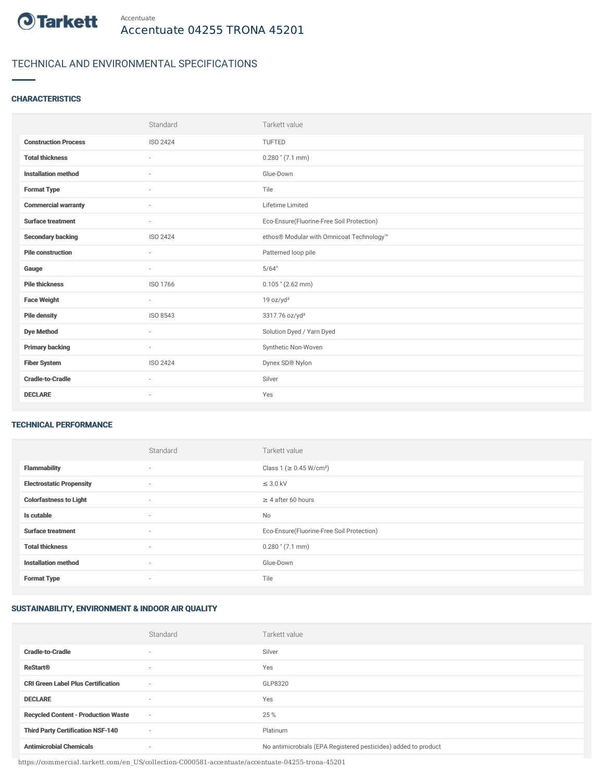

## TECHNICAL AND ENVIRONMENTAL SPECIFICATIONS

#### **CHARACTERISTICS**

|                             | Standard                 | Tarkett value                             |
|-----------------------------|--------------------------|-------------------------------------------|
| <b>Construction Process</b> | ISO 2424                 | <b>TUFTED</b>                             |
| <b>Total thickness</b>      | $\sim$                   | $0.280$ " (7.1 mm)                        |
| <b>Installation method</b>  | $\sim$                   | Glue-Down                                 |
| <b>Format Type</b>          | $\sim$                   | Tile                                      |
| <b>Commercial warranty</b>  | ٠                        | Lifetime Limited                          |
| <b>Surface treatment</b>    | ٠                        | Eco-Ensure(Fluorine-Free Soil Protection) |
| <b>Secondary backing</b>    | ISO 2424                 | ethos® Modular with Omnicoat Technology™  |
| <b>Pile construction</b>    | ٠                        | Patterned loop pile                       |
| Gauge                       | $\sim$                   | 5/64"                                     |
| <b>Pile thickness</b>       | ISO 1766                 | $0.105$ " (2.62 mm)                       |
| <b>Face Weight</b>          | $\sim$                   | 19 oz/yd <sup>2</sup>                     |
| <b>Pile density</b>         | ISO 8543                 | 3317.76 oz/yd <sup>3</sup>                |
| <b>Dye Method</b>           | $\sim$                   | Solution Dyed / Yarn Dyed                 |
| <b>Primary backing</b>      | $\sim$                   | Synthetic Non-Woven                       |
| <b>Fiber System</b>         | ISO 2424                 | Dynex SD® Nylon                           |
| <b>Cradle-to-Cradle</b>     | $\sim$                   | Silver                                    |
| <b>DECLARE</b>              | $\overline{\phantom{a}}$ | Yes                                       |

#### TECHNICAL PERFORMANCE

|                                 | Standard                 | Tarkett value                             |
|---------------------------------|--------------------------|-------------------------------------------|
| <b>Flammability</b>             | $\overline{\phantom{a}}$ | Class 1 (≥ 0.45 W/cm <sup>2</sup> )       |
| <b>Electrostatic Propensity</b> | $\sim$                   | $\leq$ 3.0 kV                             |
| <b>Colorfastness to Light</b>   | ۰                        | $\geq 4$ after 60 hours                   |
| Is cutable                      | $\sim$                   | No                                        |
| <b>Surface treatment</b>        | $\sim$                   | Eco-Ensure(Fluorine-Free Soil Protection) |
| <b>Total thickness</b>          | $\sim$                   | $0.280$ " (7.1 mm)                        |
| <b>Installation method</b>      | $\sim$                   | Glue-Down                                 |
| <b>Format Type</b>              | ۰                        | Tile                                      |

### SUSTAINABILITY, ENVIRONMENT & INDOOR AIR QUALITY

|                                            | Standard                 | Tarkett value                                                  |
|--------------------------------------------|--------------------------|----------------------------------------------------------------|
| <b>Cradle-to-Cradle</b>                    | ۰                        | Silver                                                         |
| <b>ReStart®</b>                            | ۰                        | Yes                                                            |
| <b>CRI Green Label Plus Certification</b>  | $\overline{\phantom{a}}$ | GLP8320                                                        |
| <b>DECLARE</b>                             | ۰                        | Yes                                                            |
| <b>Recycled Content - Production Waste</b> | $\overline{\phantom{a}}$ | 25 %                                                           |
| <b>Third Party Certification NSF-140</b>   | $\sim$                   | Platinum                                                       |
| <b>Antimicrobial Chemicals</b>             | ۰                        | No antimicrobials (EPA Registered pesticides) added to product |

https://commercial.tarkett.com/en\_US/collection-C000581-accentuate/accentuate-04255-trona-45201